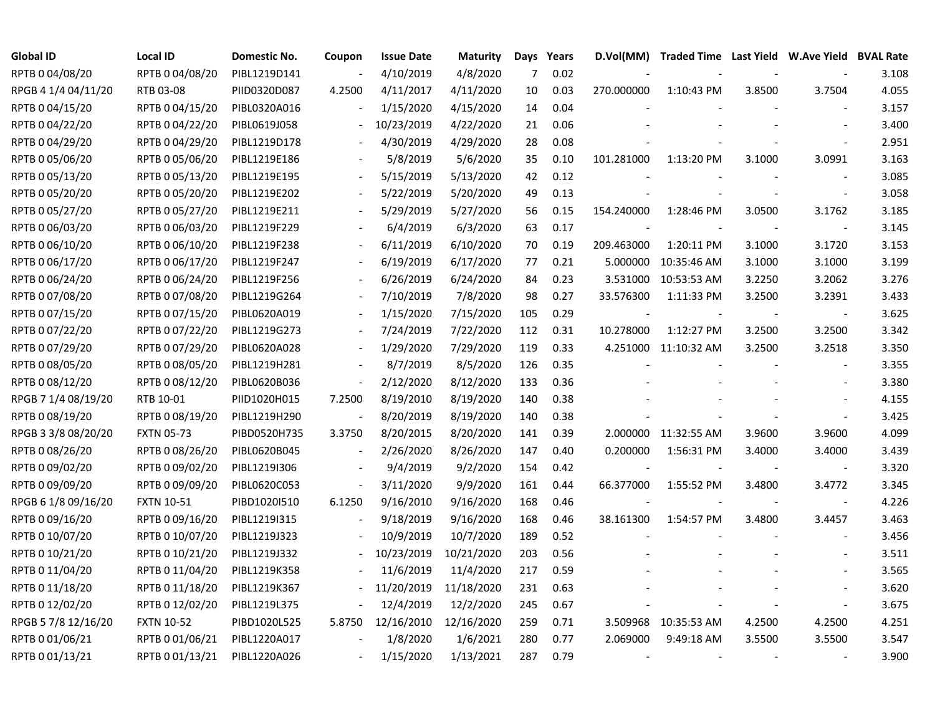| <b>Global ID</b>    | <b>Local ID</b>   | Domestic No. | Coupon                   | <b>Issue Date</b> | <b>Maturity</b> | Days | Years | D.Vol(MM)                | Traded Time Last Yield W.Ave Yield BVAL Rate |        |                          |       |
|---------------------|-------------------|--------------|--------------------------|-------------------|-----------------|------|-------|--------------------------|----------------------------------------------|--------|--------------------------|-------|
| RPTB 0 04/08/20     | RPTB 0 04/08/20   | PIBL1219D141 |                          | 4/10/2019         | 4/8/2020        | 7    | 0.02  |                          |                                              |        |                          | 3.108 |
| RPGB 4 1/4 04/11/20 | RTB 03-08         | PIID0320D087 | 4.2500                   | 4/11/2017         | 4/11/2020       | 10   | 0.03  | 270.000000               | 1:10:43 PM                                   | 3.8500 | 3.7504                   | 4.055 |
| RPTB 0 04/15/20     | RPTB 0 04/15/20   | PIBL0320A016 |                          | 1/15/2020         | 4/15/2020       | 14   | 0.04  |                          |                                              |        |                          | 3.157 |
| RPTB 0 04/22/20     | RPTB 0 04/22/20   | PIBL0619J058 |                          | 10/23/2019        | 4/22/2020       | 21   | 0.06  |                          |                                              |        |                          | 3.400 |
| RPTB 0 04/29/20     | RPTB 0 04/29/20   | PIBL1219D178 |                          | 4/30/2019         | 4/29/2020       | 28   | 0.08  |                          |                                              |        |                          | 2.951 |
| RPTB 0 05/06/20     | RPTB 0 05/06/20   | PIBL1219E186 |                          | 5/8/2019          | 5/6/2020        | 35   | 0.10  | 101.281000               | 1:13:20 PM                                   | 3.1000 | 3.0991                   | 3.163 |
| RPTB 0 05/13/20     | RPTB 0 05/13/20   | PIBL1219E195 | $\overline{\phantom{a}}$ | 5/15/2019         | 5/13/2020       | 42   | 0.12  |                          |                                              |        |                          | 3.085 |
| RPTB 0 05/20/20     | RPTB 0 05/20/20   | PIBL1219E202 |                          | 5/22/2019         | 5/20/2020       | 49   | 0.13  |                          |                                              |        |                          | 3.058 |
| RPTB 0 05/27/20     | RPTB 0 05/27/20   | PIBL1219E211 |                          | 5/29/2019         | 5/27/2020       | 56   | 0.15  | 154.240000               | 1:28:46 PM                                   | 3.0500 | 3.1762                   | 3.185 |
| RPTB 0 06/03/20     | RPTB 0 06/03/20   | PIBL1219F229 |                          | 6/4/2019          | 6/3/2020        | 63   | 0.17  | $\overline{\phantom{a}}$ |                                              |        |                          | 3.145 |
| RPTB 0 06/10/20     | RPTB 0 06/10/20   | PIBL1219F238 |                          | 6/11/2019         | 6/10/2020       | 70   | 0.19  | 209.463000               | 1:20:11 PM                                   | 3.1000 | 3.1720                   | 3.153 |
| RPTB 0 06/17/20     | RPTB 0 06/17/20   | PIBL1219F247 |                          | 6/19/2019         | 6/17/2020       | 77   | 0.21  | 5.000000                 | 10:35:46 AM                                  | 3.1000 | 3.1000                   | 3.199 |
| RPTB 0 06/24/20     | RPTB 0 06/24/20   | PIBL1219F256 |                          | 6/26/2019         | 6/24/2020       | 84   | 0.23  |                          | 3.531000 10:53:53 AM                         | 3.2250 | 3.2062                   | 3.276 |
| RPTB 0 07/08/20     | RPTB 0 07/08/20   | PIBL1219G264 |                          | 7/10/2019         | 7/8/2020        | 98   | 0.27  | 33.576300                | 1:11:33 PM                                   | 3.2500 | 3.2391                   | 3.433 |
| RPTB 0 07/15/20     | RPTB 0 07/15/20   | PIBL0620A019 |                          | 1/15/2020         | 7/15/2020       | 105  | 0.29  |                          |                                              |        |                          | 3.625 |
| RPTB 0 07/22/20     | RPTB 0 07/22/20   | PIBL1219G273 |                          | 7/24/2019         | 7/22/2020       | 112  | 0.31  | 10.278000                | 1:12:27 PM                                   | 3.2500 | 3.2500                   | 3.342 |
| RPTB 0 07/29/20     | RPTB 0 07/29/20   | PIBL0620A028 |                          | 1/29/2020         | 7/29/2020       | 119  | 0.33  |                          | 4.251000 11:10:32 AM                         | 3.2500 | 3.2518                   | 3.350 |
| RPTB 0 08/05/20     | RPTB 0 08/05/20   | PIBL1219H281 |                          | 8/7/2019          | 8/5/2020        | 126  | 0.35  |                          |                                              |        |                          | 3.355 |
| RPTB 0 08/12/20     | RPTB 0 08/12/20   | PIBL0620B036 | $\blacksquare$           | 2/12/2020         | 8/12/2020       | 133  | 0.36  |                          |                                              |        |                          | 3.380 |
| RPGB 7 1/4 08/19/20 | RTB 10-01         | PIID1020H015 | 7.2500                   | 8/19/2010         | 8/19/2020       | 140  | 0.38  |                          |                                              |        |                          | 4.155 |
| RPTB 0 08/19/20     | RPTB 0 08/19/20   | PIBL1219H290 | $\frac{1}{2}$            | 8/20/2019         | 8/19/2020       | 140  | 0.38  |                          |                                              |        |                          | 3.425 |
| RPGB 3 3/8 08/20/20 | <b>FXTN 05-73</b> | PIBD0520H735 | 3.3750                   | 8/20/2015         | 8/20/2020       | 141  | 0.39  |                          | 2.000000 11:32:55 AM                         | 3.9600 | 3.9600                   | 4.099 |
| RPTB 0 08/26/20     | RPTB 0 08/26/20   | PIBL0620B045 | $\overline{\phantom{a}}$ | 2/26/2020         | 8/26/2020       | 147  | 0.40  | 0.200000                 | 1:56:31 PM                                   | 3.4000 | 3.4000                   | 3.439 |
| RPTB 0 09/02/20     | RPTB 0 09/02/20   | PIBL1219I306 |                          | 9/4/2019          | 9/2/2020        | 154  | 0.42  | $\overline{\phantom{a}}$ |                                              |        | $\overline{\phantom{a}}$ | 3.320 |
| RPTB 0 09/09/20     | RPTB 0 09/09/20   | PIBL0620C053 | $\blacksquare$           | 3/11/2020         | 9/9/2020        | 161  | 0.44  | 66.377000                | 1:55:52 PM                                   | 3.4800 | 3.4772                   | 3.345 |
| RPGB 6 1/8 09/16/20 | <b>FXTN 10-51</b> | PIBD1020I510 | 6.1250                   | 9/16/2010         | 9/16/2020       | 168  | 0.46  |                          |                                              |        |                          | 4.226 |
| RPTB 0 09/16/20     | RPTB 0 09/16/20   | PIBL1219I315 |                          | 9/18/2019         | 9/16/2020       | 168  | 0.46  | 38.161300                | 1:54:57 PM                                   | 3.4800 | 3.4457                   | 3.463 |
| RPTB 0 10/07/20     | RPTB 0 10/07/20   | PIBL1219J323 |                          | 10/9/2019         | 10/7/2020       | 189  | 0.52  |                          |                                              |        |                          | 3.456 |
| RPTB 0 10/21/20     | RPTB 0 10/21/20   | PIBL1219J332 |                          | 10/23/2019        | 10/21/2020      | 203  | 0.56  |                          |                                              |        |                          | 3.511 |
| RPTB 0 11/04/20     | RPTB 0 11/04/20   | PIBL1219K358 |                          | 11/6/2019         | 11/4/2020       | 217  | 0.59  |                          |                                              |        |                          | 3.565 |
| RPTB 0 11/18/20     | RPTB 0 11/18/20   | PIBL1219K367 |                          | 11/20/2019        | 11/18/2020      | 231  | 0.63  |                          |                                              |        |                          | 3.620 |
| RPTB 0 12/02/20     | RPTB 0 12/02/20   | PIBL1219L375 | $\overline{\phantom{a}}$ | 12/4/2019         | 12/2/2020       | 245  | 0.67  |                          |                                              |        |                          | 3.675 |
| RPGB 5 7/8 12/16/20 | <b>FXTN 10-52</b> | PIBD1020L525 | 5.8750                   | 12/16/2010        | 12/16/2020      | 259  | 0.71  |                          | 3.509968 10:35:53 AM                         | 4.2500 | 4.2500                   | 4.251 |
| RPTB 0 01/06/21     | RPTB 0 01/06/21   | PIBL1220A017 |                          | 1/8/2020          | 1/6/2021        | 280  | 0.77  | 2.069000                 | 9:49:18 AM                                   | 3.5500 | 3.5500                   | 3.547 |
| RPTB 0 01/13/21     | RPTB 0 01/13/21   | PIBL1220A026 |                          | 1/15/2020         | 1/13/2021       | 287  | 0.79  | $\sim$                   |                                              |        |                          | 3.900 |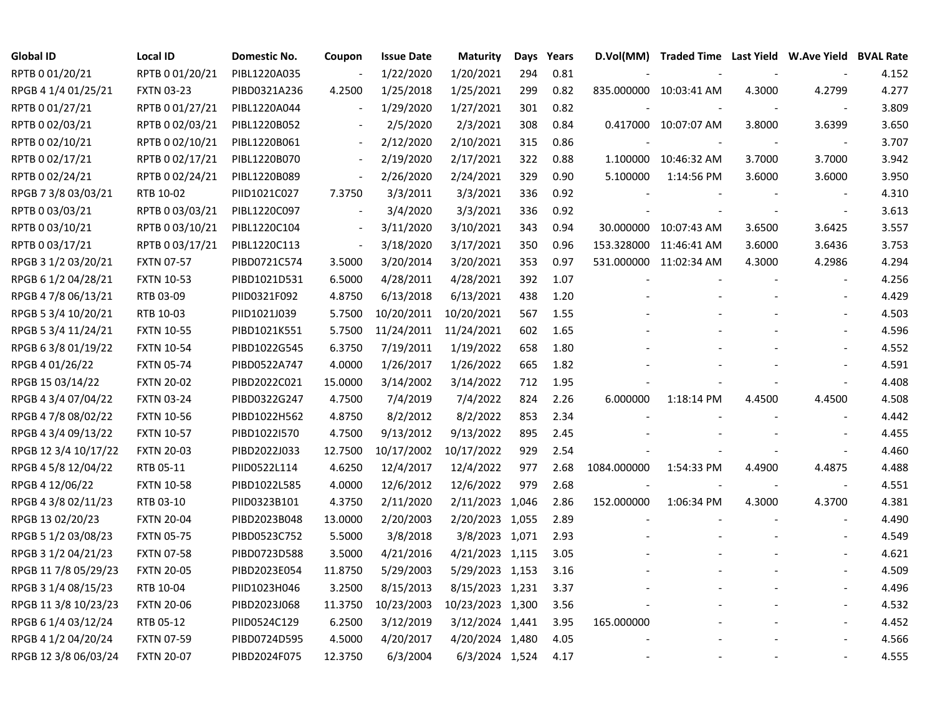| <b>Global ID</b>     | <b>Local ID</b>   | Domestic No. | Coupon                   | <b>Issue Date</b> | <b>Maturity</b>  | Days | Years | D.Vol(MM)   |                        |        | Traded Time Last Yield W.Ave Yield BVAL Rate |       |
|----------------------|-------------------|--------------|--------------------------|-------------------|------------------|------|-------|-------------|------------------------|--------|----------------------------------------------|-------|
| RPTB 0 01/20/21      | RPTB 0 01/20/21   | PIBL1220A035 |                          | 1/22/2020         | 1/20/2021        | 294  | 0.81  |             |                        |        |                                              | 4.152 |
| RPGB 4 1/4 01/25/21  | <b>FXTN 03-23</b> | PIBD0321A236 | 4.2500                   | 1/25/2018         | 1/25/2021        | 299  | 0.82  |             | 835.000000 10:03:41 AM | 4.3000 | 4.2799                                       | 4.277 |
| RPTB 0 01/27/21      | RPTB 0 01/27/21   | PIBL1220A044 |                          | 1/29/2020         | 1/27/2021        | 301  | 0.82  |             |                        |        |                                              | 3.809 |
| RPTB 0 02/03/21      | RPTB 0 02/03/21   | PIBL1220B052 |                          | 2/5/2020          | 2/3/2021         | 308  | 0.84  |             | 0.417000 10:07:07 AM   | 3.8000 | 3.6399                                       | 3.650 |
| RPTB 0 02/10/21      | RPTB 0 02/10/21   | PIBL1220B061 | $\blacksquare$           | 2/12/2020         | 2/10/2021        | 315  | 0.86  |             |                        |        | $\blacksquare$                               | 3.707 |
| RPTB 0 02/17/21      | RPTB 0 02/17/21   | PIBL1220B070 | $\overline{\phantom{a}}$ | 2/19/2020         | 2/17/2021        | 322  | 0.88  | 1.100000    | 10:46:32 AM            | 3.7000 | 3.7000                                       | 3.942 |
| RPTB 0 02/24/21      | RPTB 002/24/21    | PIBL1220B089 | $\overline{\phantom{a}}$ | 2/26/2020         | 2/24/2021        | 329  | 0.90  | 5.100000    | 1:14:56 PM             | 3.6000 | 3.6000                                       | 3.950 |
| RPGB 7 3/8 03/03/21  | RTB 10-02         | PIID1021C027 | 7.3750                   | 3/3/2011          | 3/3/2021         | 336  | 0.92  |             |                        |        |                                              | 4.310 |
| RPTB 0 03/03/21      | RPTB 0 03/03/21   | PIBL1220C097 |                          | 3/4/2020          | 3/3/2021         | 336  | 0.92  |             |                        |        | $\sim$                                       | 3.613 |
| RPTB 0 03/10/21      | RPTB 0 03/10/21   | PIBL1220C104 | $\overline{\phantom{a}}$ | 3/11/2020         | 3/10/2021        | 343  | 0.94  |             | 30.000000 10:07:43 AM  | 3.6500 | 3.6425                                       | 3.557 |
| RPTB 0 03/17/21      | RPTB 0 03/17/21   | PIBL1220C113 | $\overline{\phantom{a}}$ | 3/18/2020         | 3/17/2021        | 350  | 0.96  | 153.328000  | 11:46:41 AM            | 3.6000 | 3.6436                                       | 3.753 |
| RPGB 3 1/2 03/20/21  | <b>FXTN 07-57</b> | PIBD0721C574 | 3.5000                   | 3/20/2014         | 3/20/2021        | 353  | 0.97  |             | 531.000000 11:02:34 AM | 4.3000 | 4.2986                                       | 4.294 |
| RPGB 6 1/2 04/28/21  | <b>FXTN 10-53</b> | PIBD1021D531 | 6.5000                   | 4/28/2011         | 4/28/2021        | 392  | 1.07  |             |                        |        |                                              | 4.256 |
| RPGB 4 7/8 06/13/21  | RTB 03-09         | PIID0321F092 | 4.8750                   | 6/13/2018         | 6/13/2021        | 438  | 1.20  |             |                        |        |                                              | 4.429 |
| RPGB 5 3/4 10/20/21  | RTB 10-03         | PIID1021J039 | 5.7500                   | 10/20/2011        | 10/20/2021       | 567  | 1.55  |             |                        |        |                                              | 4.503 |
| RPGB 5 3/4 11/24/21  | <b>FXTN 10-55</b> | PIBD1021K551 | 5.7500                   | 11/24/2011        | 11/24/2021       | 602  | 1.65  |             |                        |        |                                              | 4.596 |
| RPGB 6 3/8 01/19/22  | <b>FXTN 10-54</b> | PIBD1022G545 | 6.3750                   | 7/19/2011         | 1/19/2022        | 658  | 1.80  |             |                        |        |                                              | 4.552 |
| RPGB 4 01/26/22      | <b>FXTN 05-74</b> | PIBD0522A747 | 4.0000                   | 1/26/2017         | 1/26/2022        | 665  | 1.82  |             |                        |        |                                              | 4.591 |
| RPGB 15 03/14/22     | <b>FXTN 20-02</b> | PIBD2022C021 | 15.0000                  | 3/14/2002         | 3/14/2022        | 712  | 1.95  |             |                        |        |                                              | 4.408 |
| RPGB 4 3/4 07/04/22  | <b>FXTN 03-24</b> | PIBD0322G247 | 4.7500                   | 7/4/2019          | 7/4/2022         | 824  | 2.26  | 6.000000    | 1:18:14 PM             | 4.4500 | 4.4500                                       | 4.508 |
| RPGB 4 7/8 08/02/22  | <b>FXTN 10-56</b> | PIBD1022H562 | 4.8750                   | 8/2/2012          | 8/2/2022         | 853  | 2.34  |             |                        |        |                                              | 4.442 |
| RPGB 4 3/4 09/13/22  | <b>FXTN 10-57</b> | PIBD1022I570 | 4.7500                   | 9/13/2012         | 9/13/2022        | 895  | 2.45  |             |                        |        |                                              | 4.455 |
| RPGB 12 3/4 10/17/22 | <b>FXTN 20-03</b> | PIBD2022J033 | 12.7500                  | 10/17/2002        | 10/17/2022       | 929  | 2.54  |             |                        |        | $\sim$                                       | 4.460 |
| RPGB 4 5/8 12/04/22  | RTB 05-11         | PIID0522L114 | 4.6250                   | 12/4/2017         | 12/4/2022        | 977  | 2.68  | 1084.000000 | 1:54:33 PM             | 4.4900 | 4.4875                                       | 4.488 |
| RPGB 4 12/06/22      | <b>FXTN 10-58</b> | PIBD1022L585 | 4.0000                   | 12/6/2012         | 12/6/2022        | 979  | 2.68  |             |                        |        | $\blacksquare$                               | 4.551 |
| RPGB 4 3/8 02/11/23  | RTB 03-10         | PIID0323B101 | 4.3750                   | 2/11/2020         | 2/11/2023 1,046  |      | 2.86  | 152.000000  | 1:06:34 PM             | 4.3000 | 4.3700                                       | 4.381 |
| RPGB 13 02/20/23     | <b>FXTN 20-04</b> | PIBD2023B048 | 13.0000                  | 2/20/2003         | 2/20/2023 1,055  |      | 2.89  |             |                        |        |                                              | 4.490 |
| RPGB 5 1/2 03/08/23  | <b>FXTN 05-75</b> | PIBD0523C752 | 5.5000                   | 3/8/2018          | 3/8/2023 1,071   |      | 2.93  |             |                        |        |                                              | 4.549 |
| RPGB 3 1/2 04/21/23  | <b>FXTN 07-58</b> | PIBD0723D588 | 3.5000                   | 4/21/2016         | 4/21/2023 1,115  |      | 3.05  |             |                        |        |                                              | 4.621 |
| RPGB 11 7/8 05/29/23 | <b>FXTN 20-05</b> | PIBD2023E054 | 11.8750                  | 5/29/2003         | 5/29/2023 1,153  |      | 3.16  |             |                        |        |                                              | 4.509 |
| RPGB 3 1/4 08/15/23  | RTB 10-04         | PIID1023H046 | 3.2500                   | 8/15/2013         | 8/15/2023 1,231  |      | 3.37  |             |                        |        |                                              | 4.496 |
| RPGB 11 3/8 10/23/23 | <b>FXTN 20-06</b> | PIBD2023J068 | 11.3750                  | 10/23/2003        | 10/23/2023 1,300 |      | 3.56  |             |                        |        | $\overline{a}$                               | 4.532 |
| RPGB 6 1/4 03/12/24  | RTB 05-12         | PIID0524C129 | 6.2500                   | 3/12/2019         | 3/12/2024 1,441  |      | 3.95  | 165.000000  |                        |        |                                              | 4.452 |
| RPGB 4 1/2 04/20/24  | <b>FXTN 07-59</b> | PIBD0724D595 | 4.5000                   | 4/20/2017         | 4/20/2024 1,480  |      | 4.05  |             |                        |        |                                              | 4.566 |
| RPGB 12 3/8 06/03/24 | <b>FXTN 20-07</b> | PIBD2024F075 | 12.3750                  | 6/3/2004          | 6/3/2024 1,524   |      | 4.17  |             |                        |        |                                              | 4.555 |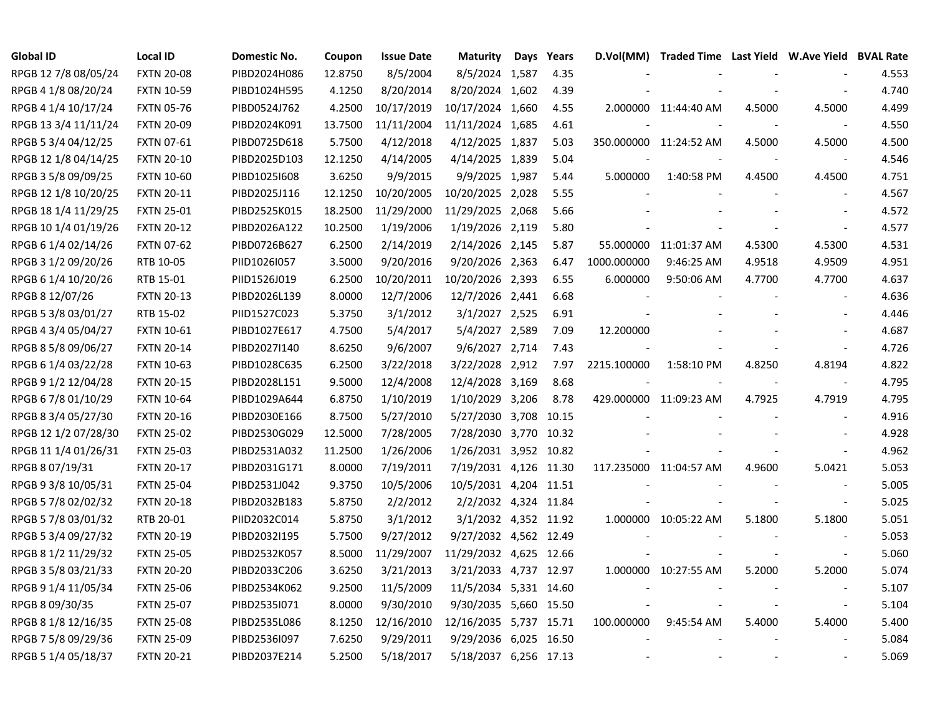| Global ID            | <b>Local ID</b>   | Domestic No. | Coupon  | <b>Issue Date</b> | <b>Maturity</b>        | Days Years |             | D.Vol(MM) Traded Time Last Yield W.Ave Yield BVAL Rate |        |                          |       |
|----------------------|-------------------|--------------|---------|-------------------|------------------------|------------|-------------|--------------------------------------------------------|--------|--------------------------|-------|
| RPGB 12 7/8 08/05/24 | <b>FXTN 20-08</b> | PIBD2024H086 | 12.8750 | 8/5/2004          | 8/5/2024 1,587         | 4.35       |             |                                                        |        |                          | 4.553 |
| RPGB 4 1/8 08/20/24  | <b>FXTN 10-59</b> | PIBD1024H595 | 4.1250  | 8/20/2014         | 8/20/2024 1,602        | 4.39       |             |                                                        |        |                          | 4.740 |
| RPGB 4 1/4 10/17/24  | <b>FXTN 05-76</b> | PIBD0524J762 | 4.2500  | 10/17/2019        | 10/17/2024 1,660       | 4.55       |             | 2.000000 11:44:40 AM                                   | 4.5000 | 4.5000                   | 4.499 |
| RPGB 13 3/4 11/11/24 | <b>FXTN 20-09</b> | PIBD2024K091 | 13.7500 | 11/11/2004        | 11/11/2024 1,685       | 4.61       |             |                                                        |        | $\overline{\phantom{a}}$ | 4.550 |
| RPGB 5 3/4 04/12/25  | <b>FXTN 07-61</b> | PIBD0725D618 | 5.7500  | 4/12/2018         | 4/12/2025 1,837        | 5.03       |             | 350.000000 11:24:52 AM                                 | 4.5000 | 4.5000                   | 4.500 |
| RPGB 12 1/8 04/14/25 | <b>FXTN 20-10</b> | PIBD2025D103 | 12.1250 | 4/14/2005         | 4/14/2025 1,839        | 5.04       |             |                                                        |        |                          | 4.546 |
| RPGB 3 5/8 09/09/25  | <b>FXTN 10-60</b> | PIBD1025I608 | 3.6250  | 9/9/2015          | 9/9/2025 1,987         | 5.44       | 5.000000    | 1:40:58 PM                                             | 4.4500 | 4.4500                   | 4.751 |
| RPGB 12 1/8 10/20/25 | <b>FXTN 20-11</b> | PIBD2025J116 | 12.1250 | 10/20/2005        | 10/20/2025 2,028       | 5.55       |             |                                                        |        |                          | 4.567 |
| RPGB 18 1/4 11/29/25 | <b>FXTN 25-01</b> | PIBD2525K015 | 18.2500 | 11/29/2000        | 11/29/2025 2,068       | 5.66       |             |                                                        |        |                          | 4.572 |
| RPGB 10 1/4 01/19/26 | <b>FXTN 20-12</b> | PIBD2026A122 | 10.2500 | 1/19/2006         | 1/19/2026 2,119        | 5.80       |             |                                                        |        | $\blacksquare$           | 4.577 |
| RPGB 6 1/4 02/14/26  | <b>FXTN 07-62</b> | PIBD0726B627 | 6.2500  | 2/14/2019         | 2/14/2026 2,145        | 5.87       |             | 55.000000 11:01:37 AM                                  | 4.5300 | 4.5300                   | 4.531 |
| RPGB 3 1/2 09/20/26  | RTB 10-05         | PIID1026I057 | 3.5000  | 9/20/2016         | 9/20/2026 2,363        | 6.47       | 1000.000000 | 9:46:25 AM                                             | 4.9518 | 4.9509                   | 4.951 |
| RPGB 6 1/4 10/20/26  | RTB 15-01         | PIID1526J019 | 6.2500  | 10/20/2011        | 10/20/2026 2,393       | 6.55       | 6.000000    | 9:50:06 AM                                             | 4.7700 | 4.7700                   | 4.637 |
| RPGB 8 12/07/26      | <b>FXTN 20-13</b> | PIBD2026L139 | 8.0000  | 12/7/2006         | 12/7/2026 2,441        | 6.68       |             |                                                        |        |                          | 4.636 |
| RPGB 5 3/8 03/01/27  | RTB 15-02         | PIID1527C023 | 5.3750  | 3/1/2012          | 3/1/2027 2,525         | 6.91       |             |                                                        |        |                          | 4.446 |
| RPGB 4 3/4 05/04/27  | <b>FXTN 10-61</b> | PIBD1027E617 | 4.7500  | 5/4/2017          | 5/4/2027 2,589         | 7.09       | 12.200000   |                                                        |        |                          | 4.687 |
| RPGB 8 5/8 09/06/27  | <b>FXTN 20-14</b> | PIBD2027I140 | 8.6250  | 9/6/2007          | 9/6/2027 2,714         | 7.43       |             |                                                        |        |                          | 4.726 |
| RPGB 6 1/4 03/22/28  | <b>FXTN 10-63</b> | PIBD1028C635 | 6.2500  | 3/22/2018         | 3/22/2028 2,912        | 7.97       | 2215.100000 | 1:58:10 PM                                             | 4.8250 | 4.8194                   | 4.822 |
| RPGB 9 1/2 12/04/28  | <b>FXTN 20-15</b> | PIBD2028L151 | 9.5000  | 12/4/2008         | 12/4/2028 3,169        | 8.68       |             |                                                        |        | $\overline{\phantom{a}}$ | 4.795 |
| RPGB 6 7/8 01/10/29  | <b>FXTN 10-64</b> | PIBD1029A644 | 6.8750  | 1/10/2019         | 1/10/2029 3,206        | 8.78       |             | 429.000000 11:09:23 AM                                 | 4.7925 | 4.7919                   | 4.795 |
| RPGB 8 3/4 05/27/30  | <b>FXTN 20-16</b> | PIBD2030E166 | 8.7500  | 5/27/2010         | 5/27/2030 3,708        | 10.15      |             |                                                        |        |                          | 4.916 |
| RPGB 12 1/2 07/28/30 | <b>FXTN 25-02</b> | PIBD2530G029 | 12.5000 | 7/28/2005         | 7/28/2030 3,770        | 10.32      |             |                                                        |        |                          | 4.928 |
| RPGB 11 1/4 01/26/31 | <b>FXTN 25-03</b> | PIBD2531A032 | 11.2500 | 1/26/2006         | 1/26/2031 3,952 10.82  |            |             |                                                        |        | $\overline{\phantom{a}}$ | 4.962 |
| RPGB 8 07/19/31      | <b>FXTN 20-17</b> | PIBD2031G171 | 8.0000  | 7/19/2011         | 7/19/2031 4,126 11.30  |            |             | 117.235000 11:04:57 AM                                 | 4.9600 | 5.0421                   | 5.053 |
| RPGB 9 3/8 10/05/31  | <b>FXTN 25-04</b> | PIBD2531J042 | 9.3750  | 10/5/2006         | 10/5/2031 4,204 11.51  |            |             |                                                        |        | $\blacksquare$           | 5.005 |
| RPGB 5 7/8 02/02/32  | <b>FXTN 20-18</b> | PIBD2032B183 | 5.8750  | 2/2/2012          | 2/2/2032 4,324 11.84   |            |             |                                                        |        | $\blacksquare$           | 5.025 |
| RPGB 5 7/8 03/01/32  | RTB 20-01         | PIID2032C014 | 5.8750  | 3/1/2012          | 3/1/2032 4,352 11.92   |            |             | 1.000000 10:05:22 AM                                   | 5.1800 | 5.1800                   | 5.051 |
| RPGB 5 3/4 09/27/32  | <b>FXTN 20-19</b> | PIBD2032I195 | 5.7500  | 9/27/2012         | 9/27/2032 4,562 12.49  |            |             |                                                        |        |                          | 5.053 |
| RPGB 8 1/2 11/29/32  | <b>FXTN 25-05</b> | PIBD2532K057 | 8.5000  | 11/29/2007        | 11/29/2032 4,625 12.66 |            |             |                                                        |        |                          | 5.060 |
| RPGB 3 5/8 03/21/33  | <b>FXTN 20-20</b> | PIBD2033C206 | 3.6250  | 3/21/2013         | 3/21/2033 4,737 12.97  |            |             | 1.000000 10:27:55 AM                                   | 5.2000 | 5.2000                   | 5.074 |
| RPGB 9 1/4 11/05/34  | <b>FXTN 25-06</b> | PIBD2534K062 | 9.2500  | 11/5/2009         | 11/5/2034 5,331 14.60  |            |             |                                                        |        |                          | 5.107 |
| RPGB 8 09/30/35      | <b>FXTN 25-07</b> | PIBD2535I071 | 8.0000  | 9/30/2010         | 9/30/2035 5,660 15.50  |            |             |                                                        |        | $\blacksquare$           | 5.104 |
| RPGB 8 1/8 12/16/35  | <b>FXTN 25-08</b> | PIBD2535L086 | 8.1250  | 12/16/2010        | 12/16/2035 5,737 15.71 |            | 100.000000  | 9:45:54 AM                                             | 5.4000 | 5.4000                   | 5.400 |
| RPGB 7 5/8 09/29/36  | <b>FXTN 25-09</b> | PIBD2536I097 | 7.6250  | 9/29/2011         | 9/29/2036 6,025 16.50  |            |             |                                                        |        |                          | 5.084 |
| RPGB 5 1/4 05/18/37  | <b>FXTN 20-21</b> | PIBD2037E214 | 5.2500  | 5/18/2017         | 5/18/2037 6,256 17.13  |            |             |                                                        |        |                          | 5.069 |